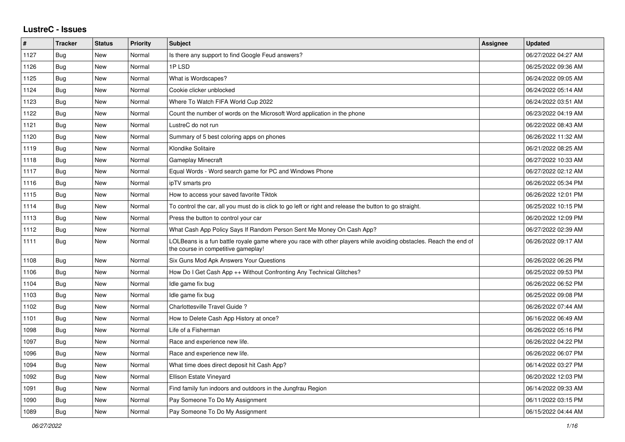## **LustreC - Issues**

| #    | <b>Tracker</b> | <b>Status</b> | Priority | <b>Subject</b>                                                                                                                                           | <b>Assignee</b> | <b>Updated</b>      |
|------|----------------|---------------|----------|----------------------------------------------------------------------------------------------------------------------------------------------------------|-----------------|---------------------|
| 1127 | <b>Bug</b>     | New           | Normal   | Is there any support to find Google Feud answers?                                                                                                        |                 | 06/27/2022 04:27 AM |
| 1126 | <b>Bug</b>     | New           | Normal   | 1PLSD                                                                                                                                                    |                 | 06/25/2022 09:36 AM |
| 1125 | Bug            | New           | Normal   | What is Wordscapes?                                                                                                                                      |                 | 06/24/2022 09:05 AM |
| 1124 | Bug            | New           | Normal   | Cookie clicker unblocked                                                                                                                                 |                 | 06/24/2022 05:14 AM |
| 1123 | Bug            | New           | Normal   | Where To Watch FIFA World Cup 2022                                                                                                                       |                 | 06/24/2022 03:51 AM |
| 1122 | Bug            | <b>New</b>    | Normal   | Count the number of words on the Microsoft Word application in the phone                                                                                 |                 | 06/23/2022 04:19 AM |
| 1121 | <b>Bug</b>     | New           | Normal   | LustreC do not run                                                                                                                                       |                 | 06/22/2022 08:43 AM |
| 1120 | <b>Bug</b>     | <b>New</b>    | Normal   | Summary of 5 best coloring apps on phones                                                                                                                |                 | 06/26/2022 11:32 AM |
| 1119 | <b>Bug</b>     | New           | Normal   | Klondike Solitaire                                                                                                                                       |                 | 06/21/2022 08:25 AM |
| 1118 | Bug            | New           | Normal   | <b>Gameplay Minecraft</b>                                                                                                                                |                 | 06/27/2022 10:33 AM |
| 1117 | <b>Bug</b>     | New           | Normal   | Equal Words - Word search game for PC and Windows Phone                                                                                                  |                 | 06/27/2022 02:12 AM |
| 1116 | Bug            | New           | Normal   | ipTV smarts pro                                                                                                                                          |                 | 06/26/2022 05:34 PM |
| 1115 | <b>Bug</b>     | New           | Normal   | How to access your saved favorite Tiktok                                                                                                                 |                 | 06/26/2022 12:01 PM |
| 1114 | Bug            | New           | Normal   | To control the car, all you must do is click to go left or right and release the button to go straight.                                                  |                 | 06/25/2022 10:15 PM |
| 1113 | <b>Bug</b>     | New           | Normal   | Press the button to control your car                                                                                                                     |                 | 06/20/2022 12:09 PM |
| 1112 | <b>Bug</b>     | <b>New</b>    | Normal   | What Cash App Policy Says If Random Person Sent Me Money On Cash App?                                                                                    |                 | 06/27/2022 02:39 AM |
| 1111 | Bug            | <b>New</b>    | Normal   | LOLBeans is a fun battle royale game where you race with other players while avoiding obstacles. Reach the end of<br>the course in competitive gameplay! |                 | 06/26/2022 09:17 AM |
| 1108 | Bug            | <b>New</b>    | Normal   | Six Guns Mod Apk Answers Your Questions                                                                                                                  |                 | 06/26/2022 06:26 PM |
| 1106 | <b>Bug</b>     | New           | Normal   | How Do I Get Cash App ++ Without Confronting Any Technical Glitches?                                                                                     |                 | 06/25/2022 09:53 PM |
| 1104 | Bug            | New           | Normal   | Idle game fix bug                                                                                                                                        |                 | 06/26/2022 06:52 PM |
| 1103 | <b>Bug</b>     | New           | Normal   | Idle game fix bug                                                                                                                                        |                 | 06/25/2022 09:08 PM |
| 1102 | <b>Bug</b>     | <b>New</b>    | Normal   | Charlottesville Travel Guide ?                                                                                                                           |                 | 06/26/2022 07:44 AM |
| 1101 | <b>Bug</b>     | New           | Normal   | How to Delete Cash App History at once?                                                                                                                  |                 | 06/16/2022 06:49 AM |
| 1098 | Bug            | New           | Normal   | Life of a Fisherman                                                                                                                                      |                 | 06/26/2022 05:16 PM |
| 1097 | Bug            | <b>New</b>    | Normal   | Race and experience new life.                                                                                                                            |                 | 06/26/2022 04:22 PM |
| 1096 | <b>Bug</b>     | New           | Normal   | Race and experience new life.                                                                                                                            |                 | 06/26/2022 06:07 PM |
| 1094 | Bug            | New           | Normal   | What time does direct deposit hit Cash App?                                                                                                              |                 | 06/14/2022 03:27 PM |
| 1092 | Bug            | New           | Normal   | <b>Ellison Estate Vinevard</b>                                                                                                                           |                 | 06/20/2022 12:03 PM |
| 1091 | Bug            | <b>New</b>    | Normal   | Find family fun indoors and outdoors in the Jungfrau Region                                                                                              |                 | 06/14/2022 09:33 AM |
| 1090 | <b>Bug</b>     | New           | Normal   | Pay Someone To Do My Assignment                                                                                                                          |                 | 06/11/2022 03:15 PM |
| 1089 | Bug            | <b>New</b>    | Normal   | Pay Someone To Do My Assignment                                                                                                                          |                 | 06/15/2022 04:44 AM |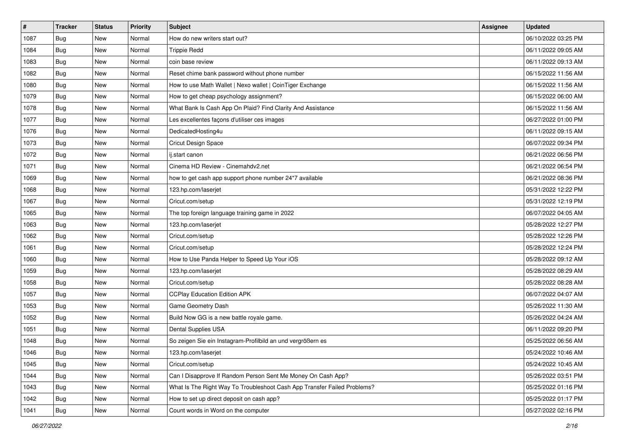| $\vert$ # | <b>Tracker</b> | <b>Status</b> | Priority | Subject                                                                  | <b>Assignee</b> | <b>Updated</b>      |
|-----------|----------------|---------------|----------|--------------------------------------------------------------------------|-----------------|---------------------|
| 1087      | <b>Bug</b>     | New           | Normal   | How do new writers start out?                                            |                 | 06/10/2022 03:25 PM |
| 1084      | Bug            | New           | Normal   | <b>Trippie Redd</b>                                                      |                 | 06/11/2022 09:05 AM |
| 1083      | Bug            | New           | Normal   | coin base review                                                         |                 | 06/11/2022 09:13 AM |
| 1082      | <b>Bug</b>     | New           | Normal   | Reset chime bank password without phone number                           |                 | 06/15/2022 11:56 AM |
| 1080      | <b>Bug</b>     | <b>New</b>    | Normal   | How to use Math Wallet   Nexo wallet   CoinTiger Exchange                |                 | 06/15/2022 11:56 AM |
| 1079      | <b>Bug</b>     | New           | Normal   | How to get cheap psychology assignment?                                  |                 | 06/15/2022 06:00 AM |
| 1078      | <b>Bug</b>     | New           | Normal   | What Bank Is Cash App On Plaid? Find Clarity And Assistance              |                 | 06/15/2022 11:56 AM |
| 1077      | <b>Bug</b>     | New           | Normal   | Les excellentes façons d'utiliser ces images                             |                 | 06/27/2022 01:00 PM |
| 1076      | <b>Bug</b>     | New           | Normal   | DedicatedHosting4u                                                       |                 | 06/11/2022 09:15 AM |
| 1073      | Bug            | New           | Normal   | Cricut Design Space                                                      |                 | 06/07/2022 09:34 PM |
| 1072      | <b>Bug</b>     | New           | Normal   | ij.start canon                                                           |                 | 06/21/2022 06:56 PM |
| 1071      | <b>Bug</b>     | New           | Normal   | Cinema HD Review - Cinemahdv2.net                                        |                 | 06/21/2022 06:54 PM |
| 1069      | Bug            | New           | Normal   | how to get cash app support phone number 24*7 available                  |                 | 06/21/2022 08:36 PM |
| 1068      | <b>Bug</b>     | New           | Normal   | 123.hp.com/laserjet                                                      |                 | 05/31/2022 12:22 PM |
| 1067      | Bug            | New           | Normal   | Cricut.com/setup                                                         |                 | 05/31/2022 12:19 PM |
| 1065      | <b>Bug</b>     | New           | Normal   | The top foreign language training game in 2022                           |                 | 06/07/2022 04:05 AM |
| 1063      | <b>Bug</b>     | New           | Normal   | 123.hp.com/laserjet                                                      |                 | 05/28/2022 12:27 PM |
| 1062      | <b>Bug</b>     | New           | Normal   | Cricut.com/setup                                                         |                 | 05/28/2022 12:26 PM |
| 1061      | <b>Bug</b>     | New           | Normal   | Cricut.com/setup                                                         |                 | 05/28/2022 12:24 PM |
| 1060      | <b>Bug</b>     | New           | Normal   | How to Use Panda Helper to Speed Up Your iOS                             |                 | 05/28/2022 09:12 AM |
| 1059      | <b>Bug</b>     | New           | Normal   | 123.hp.com/laserjet                                                      |                 | 05/28/2022 08:29 AM |
| 1058      | <b>Bug</b>     | New           | Normal   | Cricut.com/setup                                                         |                 | 05/28/2022 08:28 AM |
| 1057      | Bug            | <b>New</b>    | Normal   | <b>CCPlay Education Edition APK</b>                                      |                 | 06/07/2022 04:07 AM |
| 1053      | Bug            | New           | Normal   | Game Geometry Dash                                                       |                 | 05/26/2022 11:30 AM |
| 1052      | <b>Bug</b>     | New           | Normal   | Build Now GG is a new battle royale game.                                |                 | 05/26/2022 04:24 AM |
| 1051      | <b>Bug</b>     | New           | Normal   | Dental Supplies USA                                                      |                 | 06/11/2022 09:20 PM |
| 1048      | <b>Bug</b>     | New           | Normal   | So zeigen Sie ein Instagram-Profilbild an und vergrößern es              |                 | 05/25/2022 06:56 AM |
| 1046      | <b>Bug</b>     | New           | Normal   | 123.hp.com/laserjet                                                      |                 | 05/24/2022 10:46 AM |
| 1045      | <b>Bug</b>     | New           | Normal   | Cricut.com/setup                                                         |                 | 05/24/2022 10:45 AM |
| 1044      | <b>Bug</b>     | New           | Normal   | Can I Disapprove If Random Person Sent Me Money On Cash App?             |                 | 05/26/2022 03:51 PM |
| 1043      | Bug            | New           | Normal   | What Is The Right Way To Troubleshoot Cash App Transfer Failed Problems? |                 | 05/25/2022 01:16 PM |
| 1042      | <b>Bug</b>     | New           | Normal   | How to set up direct deposit on cash app?                                |                 | 05/25/2022 01:17 PM |
| 1041      | Bug            | New           | Normal   | Count words in Word on the computer                                      |                 | 05/27/2022 02:16 PM |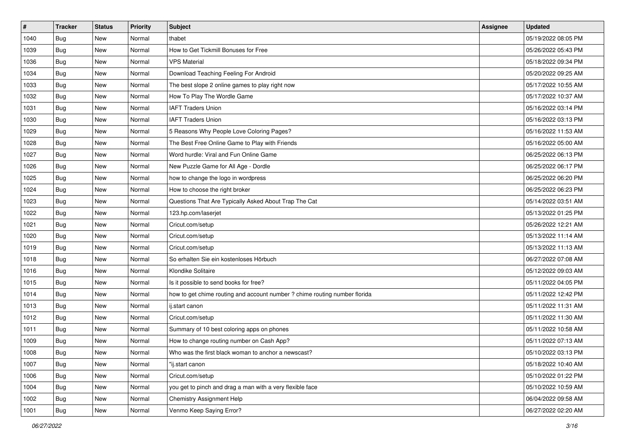| #    | <b>Tracker</b> | <b>Status</b> | Priority | <b>Subject</b>                                                             | <b>Assignee</b> | <b>Updated</b>      |
|------|----------------|---------------|----------|----------------------------------------------------------------------------|-----------------|---------------------|
| 1040 | <b>Bug</b>     | New           | Normal   | thabet                                                                     |                 | 05/19/2022 08:05 PM |
| 1039 | Bug            | New           | Normal   | How to Get Tickmill Bonuses for Free                                       |                 | 05/26/2022 05:43 PM |
| 1036 | <b>Bug</b>     | New           | Normal   | <b>VPS Material</b>                                                        |                 | 05/18/2022 09:34 PM |
| 1034 | <b>Bug</b>     | New           | Normal   | Download Teaching Feeling For Android                                      |                 | 05/20/2022 09:25 AM |
| 1033 | <b>Bug</b>     | New           | Normal   | The best slope 2 online games to play right now                            |                 | 05/17/2022 10:55 AM |
| 1032 | <b>Bug</b>     | New           | Normal   | How To Play The Wordle Game                                                |                 | 05/17/2022 10:37 AM |
| 1031 | <b>Bug</b>     | New           | Normal   | <b>IAFT Traders Union</b>                                                  |                 | 05/16/2022 03:14 PM |
| 1030 | Bug            | New           | Normal   | <b>IAFT Traders Union</b>                                                  |                 | 05/16/2022 03:13 PM |
| 1029 | <b>Bug</b>     | New           | Normal   | 5 Reasons Why People Love Coloring Pages?                                  |                 | 05/16/2022 11:53 AM |
| 1028 | Bug            | New           | Normal   | The Best Free Online Game to Play with Friends                             |                 | 05/16/2022 05:00 AM |
| 1027 | Bug            | New           | Normal   | Word hurdle: Viral and Fun Online Game                                     |                 | 06/25/2022 06:13 PM |
| 1026 | <b>Bug</b>     | New           | Normal   | New Puzzle Game for All Age - Dordle                                       |                 | 06/25/2022 06:17 PM |
| 1025 | Bug            | <b>New</b>    | Normal   | how to change the logo in wordpress                                        |                 | 06/25/2022 06:20 PM |
| 1024 | <b>Bug</b>     | New           | Normal   | How to choose the right broker                                             |                 | 06/25/2022 06:23 PM |
| 1023 | <b>Bug</b>     | New           | Normal   | Questions That Are Typically Asked About Trap The Cat                      |                 | 05/14/2022 03:51 AM |
| 1022 | <b>Bug</b>     | New           | Normal   | 123.hp.com/laserjet                                                        |                 | 05/13/2022 01:25 PM |
| 1021 | <b>Bug</b>     | New           | Normal   | Cricut.com/setup                                                           |                 | 05/26/2022 12:21 AM |
| 1020 | Bug            | <b>New</b>    | Normal   | Cricut.com/setup                                                           |                 | 05/13/2022 11:14 AM |
| 1019 | <b>Bug</b>     | New           | Normal   | Cricut.com/setup                                                           |                 | 05/13/2022 11:13 AM |
| 1018 | Bug            | New           | Normal   | So erhalten Sie ein kostenloses Hörbuch                                    |                 | 06/27/2022 07:08 AM |
| 1016 | <b>Bug</b>     | <b>New</b>    | Normal   | Klondike Solitaire                                                         |                 | 05/12/2022 09:03 AM |
| 1015 | <b>Bug</b>     | New           | Normal   | Is it possible to send books for free?                                     |                 | 05/11/2022 04:05 PM |
| 1014 | Bug            | New           | Normal   | how to get chime routing and account number ? chime routing number florida |                 | 05/11/2022 12:42 PM |
| 1013 | Bug            | New           | Normal   | ij.start canon                                                             |                 | 05/11/2022 11:31 AM |
| 1012 | Bug            | New           | Normal   | Cricut.com/setup                                                           |                 | 05/11/2022 11:30 AM |
| 1011 | Bug            | <b>New</b>    | Normal   | Summary of 10 best coloring apps on phones                                 |                 | 05/11/2022 10:58 AM |
| 1009 | Bug            | New           | Normal   | How to change routing number on Cash App?                                  |                 | 05/11/2022 07:13 AM |
| 1008 | Bug            | New           | Normal   | Who was the first black woman to anchor a newscast?                        |                 | 05/10/2022 03:13 PM |
| 1007 | <b>Bug</b>     | New           | Normal   | "ii.start canon                                                            |                 | 05/18/2022 10:40 AM |
| 1006 | <b>Bug</b>     | New           | Normal   | Cricut.com/setup                                                           |                 | 05/10/2022 01:22 PM |
| 1004 | Bug            | New           | Normal   | you get to pinch and drag a man with a very flexible face                  |                 | 05/10/2022 10:59 AM |
| 1002 | <b>Bug</b>     | New           | Normal   | Chemistry Assignment Help                                                  |                 | 06/04/2022 09:58 AM |
| 1001 | <b>Bug</b>     | New           | Normal   | Venmo Keep Saying Error?                                                   |                 | 06/27/2022 02:20 AM |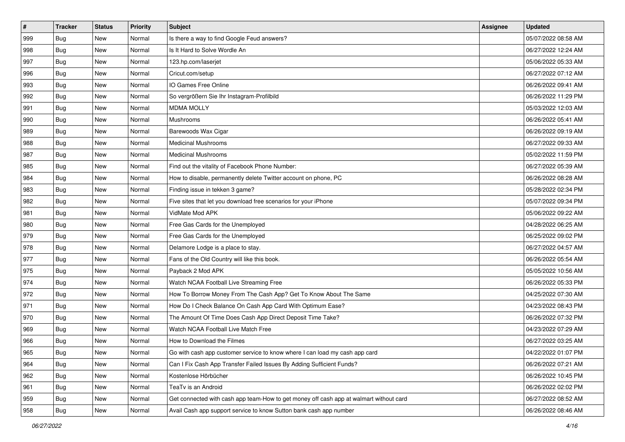| $\sharp$ | <b>Tracker</b> | <b>Status</b> | Priority | <b>Subject</b>                                                                         | <b>Assignee</b> | <b>Updated</b>      |
|----------|----------------|---------------|----------|----------------------------------------------------------------------------------------|-----------------|---------------------|
| 999      | Bug            | New           | Normal   | Is there a way to find Google Feud answers?                                            |                 | 05/07/2022 08:58 AM |
| 998      | <b>Bug</b>     | New           | Normal   | Is It Hard to Solve Wordle An                                                          |                 | 06/27/2022 12:24 AM |
| 997      | Bug            | New           | Normal   | 123.hp.com/laserjet                                                                    |                 | 05/06/2022 05:33 AM |
| 996      | Bug            | <b>New</b>    | Normal   | Cricut.com/setup                                                                       |                 | 06/27/2022 07:12 AM |
| 993      | Bug            | New           | Normal   | IO Games Free Online                                                                   |                 | 06/26/2022 09:41 AM |
| 992      | <b>Bug</b>     | New           | Normal   | So vergrößern Sie Ihr Instagram-Profilbild                                             |                 | 06/26/2022 11:29 PM |
| 991      | <b>Bug</b>     | New           | Normal   | <b>MDMA MOLLY</b>                                                                      |                 | 05/03/2022 12:03 AM |
| 990      | <b>Bug</b>     | New           | Normal   | Mushrooms                                                                              |                 | 06/26/2022 05:41 AM |
| 989      | Bug            | New           | Normal   | Barewoods Wax Cigar                                                                    |                 | 06/26/2022 09:19 AM |
| 988      | Bug            | New           | Normal   | <b>Medicinal Mushrooms</b>                                                             |                 | 06/27/2022 09:33 AM |
| 987      | <b>Bug</b>     | New           | Normal   | <b>Medicinal Mushrooms</b>                                                             |                 | 05/02/2022 11:59 PM |
| 985      | <b>Bug</b>     | New           | Normal   | Find out the vitality of Facebook Phone Number:                                        |                 | 06/27/2022 05:39 AM |
| 984      | Bug            | New           | Normal   | How to disable, permanently delete Twitter account on phone, PC                        |                 | 06/26/2022 08:28 AM |
| 983      | <b>Bug</b>     | New           | Normal   | Finding issue in tekken 3 game?                                                        |                 | 05/28/2022 02:34 PM |
| 982      | <b>Bug</b>     | <b>New</b>    | Normal   | Five sites that let you download free scenarios for your iPhone                        |                 | 05/07/2022 09:34 PM |
| 981      | Bug            | New           | Normal   | VidMate Mod APK                                                                        |                 | 05/06/2022 09:22 AM |
| 980      | <b>Bug</b>     | <b>New</b>    | Normal   | Free Gas Cards for the Unemployed                                                      |                 | 04/28/2022 06:25 AM |
| 979      | Bug            | New           | Normal   | Free Gas Cards for the Unemployed                                                      |                 | 06/25/2022 09:02 PM |
| 978      | Bug            | New           | Normal   | Delamore Lodge is a place to stay.                                                     |                 | 06/27/2022 04:57 AM |
| 977      | Bug            | New           | Normal   | Fans of the Old Country will like this book.                                           |                 | 06/26/2022 05:54 AM |
| 975      | <b>Bug</b>     | New           | Normal   | Payback 2 Mod APK                                                                      |                 | 05/05/2022 10:56 AM |
| 974      | Bug            | New           | Normal   | Watch NCAA Football Live Streaming Free                                                |                 | 06/26/2022 05:33 PM |
| 972      | Bug            | New           | Normal   | How To Borrow Money From The Cash App? Get To Know About The Same                      |                 | 04/25/2022 07:30 AM |
| 971      | <b>Bug</b>     | New           | Normal   | How Do I Check Balance On Cash App Card With Optimum Ease?                             |                 | 04/23/2022 08:43 PM |
| 970      | Bug            | New           | Normal   | The Amount Of Time Does Cash App Direct Deposit Time Take?                             |                 | 06/26/2022 07:32 PM |
| 969      | Bug            | New           | Normal   | Watch NCAA Football Live Match Free                                                    |                 | 04/23/2022 07:29 AM |
| 966      | Bug            | New           | Normal   | How to Download the Filmes                                                             |                 | 06/27/2022 03:25 AM |
| 965      | i Bug          | New           | Normal   | Go with cash app customer service to know where I can load my cash app card            |                 | 04/22/2022 01:07 PM |
| 964      | <b>Bug</b>     | New           | Normal   | Can I Fix Cash App Transfer Failed Issues By Adding Sufficient Funds?                  |                 | 06/26/2022 07:21 AM |
| 962      | Bug            | New           | Normal   | Kostenlose Hörbücher                                                                   |                 | 06/26/2022 10:45 PM |
| 961      | <b>Bug</b>     | New           | Normal   | TeaTv is an Android                                                                    |                 | 06/26/2022 02:02 PM |
| 959      | Bug            | New           | Normal   | Get connected with cash app team-How to get money off cash app at walmart without card |                 | 06/27/2022 08:52 AM |
| 958      | <b>Bug</b>     | New           | Normal   | Avail Cash app support service to know Sutton bank cash app number                     |                 | 06/26/2022 08:46 AM |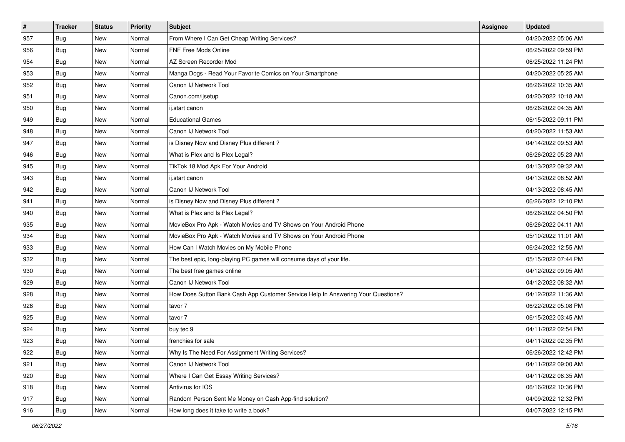| #             | <b>Tracker</b> | <b>Status</b> | Priority | <b>Subject</b>                                                                   | <b>Assignee</b> | <b>Updated</b>      |
|---------------|----------------|---------------|----------|----------------------------------------------------------------------------------|-----------------|---------------------|
| 957           | <b>Bug</b>     | New           | Normal   | From Where I Can Get Cheap Writing Services?                                     |                 | 04/20/2022 05:06 AM |
| 956           | <b>Bug</b>     | New           | Normal   | <b>FNF Free Mods Online</b>                                                      |                 | 06/25/2022 09:59 PM |
| 954           | <b>Bug</b>     | New           | Normal   | AZ Screen Recorder Mod                                                           |                 | 06/25/2022 11:24 PM |
| 953           | <b>Bug</b>     | New           | Normal   | Manga Dogs - Read Your Favorite Comics on Your Smartphone                        |                 | 04/20/2022 05:25 AM |
| 952           | <b>Bug</b>     | <b>New</b>    | Normal   | Canon IJ Network Tool                                                            |                 | 06/26/2022 10:35 AM |
| 951           | Bug            | New           | Normal   | Canon.com/ijsetup                                                                |                 | 04/20/2022 10:18 AM |
| 950           | <b>Bug</b>     | New           | Normal   | ij.start canon                                                                   |                 | 06/26/2022 04:35 AM |
| 949           | <b>Bug</b>     | New           | Normal   | <b>Educational Games</b>                                                         |                 | 06/15/2022 09:11 PM |
| 948           | <b>Bug</b>     | New           | Normal   | Canon IJ Network Tool                                                            |                 | 04/20/2022 11:53 AM |
| 947           | Bug            | <b>New</b>    | Normal   | is Disney Now and Disney Plus different?                                         |                 | 04/14/2022 09:53 AM |
| 946           | <b>Bug</b>     | New           | Normal   | What is Plex and Is Plex Legal?                                                  |                 | 06/26/2022 05:23 AM |
| 945           | Bug            | New           | Normal   | TikTok 18 Mod Apk For Your Android                                               |                 | 04/13/2022 09:32 AM |
| 943           | Bug            | New           | Normal   | ij.start canon                                                                   |                 | 04/13/2022 08:52 AM |
| 942           | <b>Bug</b>     | New           | Normal   | Canon IJ Network Tool                                                            |                 | 04/13/2022 08:45 AM |
| 941           | Bug            | New           | Normal   | is Disney Now and Disney Plus different?                                         |                 | 06/26/2022 12:10 PM |
| 940           | <b>Bug</b>     | New           | Normal   | What is Plex and Is Plex Legal?                                                  |                 | 06/26/2022 04:50 PM |
| 935           | <b>Bug</b>     | New           | Normal   | MovieBox Pro Apk - Watch Movies and TV Shows on Your Android Phone               |                 | 06/26/2022 04:11 AM |
| 934           | <b>Bug</b>     | <b>New</b>    | Normal   | MovieBox Pro Apk - Watch Movies and TV Shows on Your Android Phone               |                 | 05/10/2022 11:01 AM |
| 933           | <b>Bug</b>     | New           | Normal   | How Can I Watch Movies on My Mobile Phone                                        |                 | 06/24/2022 12:55 AM |
| 932           | <b>Bug</b>     | New           | Normal   | The best epic, long-playing PC games will consume days of your life.             |                 | 05/15/2022 07:44 PM |
| 930           | <b>Bug</b>     | New           | Normal   | The best free games online                                                       |                 | 04/12/2022 09:05 AM |
| 929           | <b>Bug</b>     | New           | Normal   | Canon IJ Network Tool                                                            |                 | 04/12/2022 08:32 AM |
| 928           | Bug            | <b>New</b>    | Normal   | How Does Sutton Bank Cash App Customer Service Help In Answering Your Questions? |                 | 04/12/2022 11:36 AM |
| 926           | Bug            | New           | Normal   | tavor 7                                                                          |                 | 06/22/2022 05:08 PM |
| 925           | <b>Bug</b>     | New           | Normal   | tavor 7                                                                          |                 | 06/15/2022 03:45 AM |
| 924           | Bug            | New           | Normal   | buy tec 9                                                                        |                 | 04/11/2022 02:54 PM |
| 923           | <b>Bug</b>     | New           | Normal   | frenchies for sale                                                               |                 | 04/11/2022 02:35 PM |
| 922           | <b>Bug</b>     | New           | Normal   | Why Is The Need For Assignment Writing Services?                                 |                 | 06/26/2022 12:42 PM |
| 921           | <b>Bug</b>     | New           | Normal   | Canon IJ Network Tool                                                            |                 | 04/11/2022 09:00 AM |
| $ 920\rangle$ | <b>Bug</b>     | New           | Normal   | Where I Can Get Essay Writing Services?                                          |                 | 04/11/2022 08:35 AM |
| 918           | Bug            | New           | Normal   | Antivirus for IOS                                                                |                 | 06/16/2022 10:36 PM |
| 917           | <b>Bug</b>     | New           | Normal   | Random Person Sent Me Money on Cash App-find solution?                           |                 | 04/09/2022 12:32 PM |
| 916           | <b>Bug</b>     | New           | Normal   | How long does it take to write a book?                                           |                 | 04/07/2022 12:15 PM |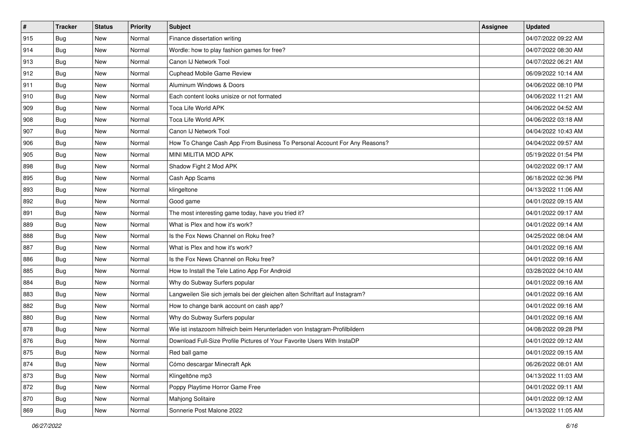| $\sharp$ | <b>Tracker</b> | <b>Status</b> | Priority | <b>Subject</b>                                                              | <b>Assignee</b> | <b>Updated</b>      |
|----------|----------------|---------------|----------|-----------------------------------------------------------------------------|-----------------|---------------------|
| 915      | <b>Bug</b>     | New           | Normal   | Finance dissertation writing                                                |                 | 04/07/2022 09:22 AM |
| 914      | Bug            | New           | Normal   | Wordle: how to play fashion games for free?                                 |                 | 04/07/2022 08:30 AM |
| 913      | Bug            | New           | Normal   | Canon IJ Network Tool                                                       |                 | 04/07/2022 06:21 AM |
| 912      | Bug            | <b>New</b>    | Normal   | Cuphead Mobile Game Review                                                  |                 | 06/09/2022 10:14 AM |
| 911      | Bug            | New           | Normal   | Aluminum Windows & Doors                                                    |                 | 04/06/2022 08:10 PM |
| 910      | <b>Bug</b>     | New           | Normal   | Each content looks unisize or not formated                                  |                 | 04/06/2022 11:21 AM |
| 909      | Bug            | New           | Normal   | Toca Life World APK                                                         |                 | 04/06/2022 04:52 AM |
| 908      | <b>Bug</b>     | New           | Normal   | Toca Life World APK                                                         |                 | 04/06/2022 03:18 AM |
| 907      | Bug            | New           | Normal   | Canon IJ Network Tool                                                       |                 | 04/04/2022 10:43 AM |
| 906      | Bug            | New           | Normal   | How To Change Cash App From Business To Personal Account For Any Reasons?   |                 | 04/04/2022 09:57 AM |
| 905      | <b>Bug</b>     | New           | Normal   | MINI MILITIA MOD APK                                                        |                 | 05/19/2022 01:54 PM |
| 898      | Bug            | New           | Normal   | Shadow Fight 2 Mod APK                                                      |                 | 04/02/2022 09:17 AM |
| 895      | Bug            | New           | Normal   | Cash App Scams                                                              |                 | 06/18/2022 02:36 PM |
| 893      | <b>Bug</b>     | New           | Normal   | klingeltone                                                                 |                 | 04/13/2022 11:06 AM |
| 892      | <b>Bug</b>     | <b>New</b>    | Normal   | Good game                                                                   |                 | 04/01/2022 09:15 AM |
| 891      | Bug            | New           | Normal   | The most interesting game today, have you tried it?                         |                 | 04/01/2022 09:17 AM |
| 889      | <b>Bug</b>     | <b>New</b>    | Normal   | What is Plex and how it's work?                                             |                 | 04/01/2022 09:14 AM |
| 888      | Bug            | New           | Normal   | Is the Fox News Channel on Roku free?                                       |                 | 04/25/2022 08:04 AM |
| 887      | Bug            | New           | Normal   | What is Plex and how it's work?                                             |                 | 04/01/2022 09:16 AM |
| 886      | Bug            | New           | Normal   | Is the Fox News Channel on Roku free?                                       |                 | 04/01/2022 09:16 AM |
| 885      | Bug            | New           | Normal   | How to Install the Tele Latino App For Android                              |                 | 03/28/2022 04:10 AM |
| 884      | Bug            | New           | Normal   | Why do Subway Surfers popular                                               |                 | 04/01/2022 09:16 AM |
| 883      | Bug            | New           | Normal   | Langweilen Sie sich jemals bei der gleichen alten Schriftart auf Instagram? |                 | 04/01/2022 09:16 AM |
| 882      | <b>Bug</b>     | New           | Normal   | How to change bank account on cash app?                                     |                 | 04/01/2022 09:16 AM |
| 880      | Bug            | New           | Normal   | Why do Subway Surfers popular                                               |                 | 04/01/2022 09:16 AM |
| 878      | Bug            | New           | Normal   | Wie ist instazoom hilfreich beim Herunterladen von Instagram-Profilbildern  |                 | 04/08/2022 09:28 PM |
| 876      | Bug            | New           | Normal   | Download Full-Size Profile Pictures of Your Favorite Users With InstaDP     |                 | 04/01/2022 09:12 AM |
| 875      | <b>Bug</b>     | New           | Normal   | Red ball game                                                               |                 | 04/01/2022 09:15 AM |
| 874      | <b>Bug</b>     | New           | Normal   | Cómo descargar Minecraft Apk                                                |                 | 06/26/2022 08:01 AM |
| 873      | <b>Bug</b>     | New           | Normal   | Klingeltöne mp3                                                             |                 | 04/13/2022 11:03 AM |
| 872      | Bug            | New           | Normal   | Poppy Playtime Horror Game Free                                             |                 | 04/01/2022 09:11 AM |
| 870      | <b>Bug</b>     | New           | Normal   | Mahjong Solitaire                                                           |                 | 04/01/2022 09:12 AM |
| 869      | <b>Bug</b>     | New           | Normal   | Sonnerie Post Malone 2022                                                   |                 | 04/13/2022 11:05 AM |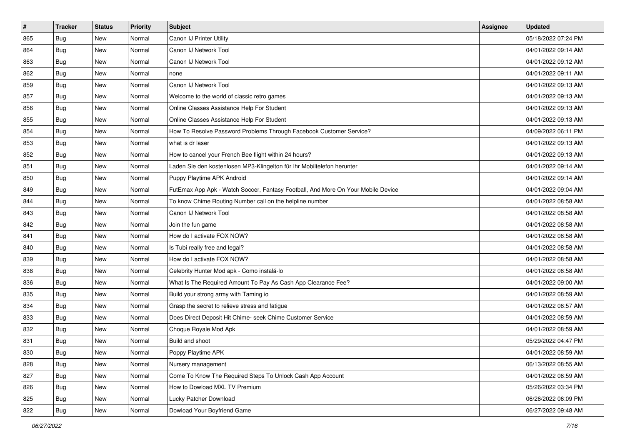| $\vert$ # | <b>Tracker</b> | <b>Status</b> | Priority | <b>Subject</b>                                                                   | <b>Assignee</b> | <b>Updated</b>      |
|-----------|----------------|---------------|----------|----------------------------------------------------------------------------------|-----------------|---------------------|
| 865       | <b>Bug</b>     | New           | Normal   | Canon IJ Printer Utility                                                         |                 | 05/18/2022 07:24 PM |
| 864       | <b>Bug</b>     | New           | Normal   | Canon IJ Network Tool                                                            |                 | 04/01/2022 09:14 AM |
| 863       | <b>Bug</b>     | New           | Normal   | Canon IJ Network Tool                                                            |                 | 04/01/2022 09:12 AM |
| 862       | <b>Bug</b>     | New           | Normal   | none                                                                             |                 | 04/01/2022 09:11 AM |
| 859       | <b>Bug</b>     | <b>New</b>    | Normal   | Canon IJ Network Tool                                                            |                 | 04/01/2022 09:13 AM |
| 857       | <b>Bug</b>     | New           | Normal   | Welcome to the world of classic retro games                                      |                 | 04/01/2022 09:13 AM |
| 856       | Bug            | New           | Normal   | Online Classes Assistance Help For Student                                       |                 | 04/01/2022 09:13 AM |
| 855       | <b>Bug</b>     | New           | Normal   | Online Classes Assistance Help For Student                                       |                 | 04/01/2022 09:13 AM |
| 854       | <b>Bug</b>     | New           | Normal   | How To Resolve Password Problems Through Facebook Customer Service?              |                 | 04/09/2022 06:11 PM |
| 853       | Bug            | <b>New</b>    | Normal   | what is dr laser                                                                 |                 | 04/01/2022 09:13 AM |
| 852       | <b>Bug</b>     | New           | Normal   | How to cancel your French Bee flight within 24 hours?                            |                 | 04/01/2022 09:13 AM |
| 851       | <b>Bug</b>     | New           | Normal   | Laden Sie den kostenlosen MP3-Klingelton für Ihr Mobiltelefon herunter           |                 | 04/01/2022 09:14 AM |
| 850       | Bug            | New           | Normal   | Puppy Playtime APK Android                                                       |                 | 04/01/2022 09:14 AM |
| 849       | <b>Bug</b>     | New           | Normal   | FutEmax App Apk - Watch Soccer, Fantasy Football, And More On Your Mobile Device |                 | 04/01/2022 09:04 AM |
| 844       | <b>Bug</b>     | New           | Normal   | To know Chime Routing Number call on the helpline number                         |                 | 04/01/2022 08:58 AM |
| 843       | <b>Bug</b>     | New           | Normal   | Canon IJ Network Tool                                                            |                 | 04/01/2022 08:58 AM |
| 842       | <b>Bug</b>     | New           | Normal   | Join the fun game                                                                |                 | 04/01/2022 08:58 AM |
| 841       | <b>Bug</b>     | <b>New</b>    | Normal   | How do I activate FOX NOW?                                                       |                 | 04/01/2022 08:58 AM |
| 840       | <b>Bug</b>     | New           | Normal   | Is Tubi really free and legal?                                                   |                 | 04/01/2022 08:58 AM |
| 839       | <b>Bug</b>     | New           | Normal   | How do I activate FOX NOW?                                                       |                 | 04/01/2022 08:58 AM |
| 838       | Bug            | New           | Normal   | Celebrity Hunter Mod apk - Como instalá-lo                                       |                 | 04/01/2022 08:58 AM |
| 836       | <b>Bug</b>     | New           | Normal   | What Is The Required Amount To Pay As Cash App Clearance Fee?                    |                 | 04/01/2022 09:00 AM |
| 835       | Bug            | <b>New</b>    | Normal   | Build your strong army with Taming io                                            |                 | 04/01/2022 08:59 AM |
| 834       | <b>Bug</b>     | New           | Normal   | Grasp the secret to relieve stress and fatigue                                   |                 | 04/01/2022 08:57 AM |
| 833       | <b>Bug</b>     | New           | Normal   | Does Direct Deposit Hit Chime- seek Chime Customer Service                       |                 | 04/01/2022 08:59 AM |
| 832       | <b>Bug</b>     | New           | Normal   | Choque Royale Mod Apk                                                            |                 | 04/01/2022 08:59 AM |
| 831       | <b>Bug</b>     | New           | Normal   | Build and shoot                                                                  |                 | 05/29/2022 04:47 PM |
| 830       | <b>Bug</b>     | New           | Normal   | Poppy Playtime APK                                                               |                 | 04/01/2022 08:59 AM |
| 828       | <b>Bug</b>     | New           | Normal   | Nursery management                                                               |                 | 06/13/2022 08:55 AM |
| 827       | <b>Bug</b>     | New           | Normal   | Come To Know The Required Steps To Unlock Cash App Account                       |                 | 04/01/2022 08:59 AM |
| 826       | <b>Bug</b>     | New           | Normal   | How to Dowload MXL TV Premium                                                    |                 | 05/26/2022 03:34 PM |
| 825       | <b>Bug</b>     | New           | Normal   | Lucky Patcher Download                                                           |                 | 06/26/2022 06:09 PM |
| 822       | <b>Bug</b>     | New           | Normal   | Dowload Your Boyfriend Game                                                      |                 | 06/27/2022 09:48 AM |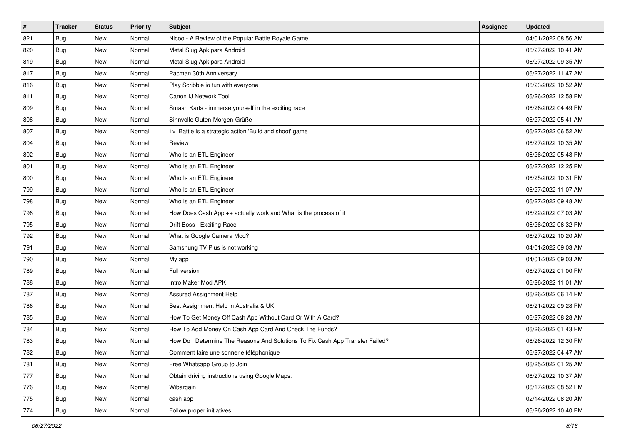| #   | <b>Tracker</b> | <b>Status</b> | Priority | <b>Subject</b>                                                                | Assignee | <b>Updated</b>      |
|-----|----------------|---------------|----------|-------------------------------------------------------------------------------|----------|---------------------|
| 821 | <b>Bug</b>     | New           | Normal   | Nicoo - A Review of the Popular Battle Royale Game                            |          | 04/01/2022 08:56 AM |
| 820 | Bug            | <b>New</b>    | Normal   | Metal Slug Apk para Android                                                   |          | 06/27/2022 10:41 AM |
| 819 | Bug            | New           | Normal   | Metal Slug Apk para Android                                                   |          | 06/27/2022 09:35 AM |
| 817 | Bug            | New           | Normal   | Pacman 30th Anniversary                                                       |          | 06/27/2022 11:47 AM |
| 816 | Bug            | New           | Normal   | Play Scribble io fun with everyone                                            |          | 06/23/2022 10:52 AM |
| 811 | <b>Bug</b>     | New           | Normal   | Canon IJ Network Tool                                                         |          | 06/26/2022 12:58 PM |
| 809 | Bug            | New           | Normal   | Smash Karts - immerse yourself in the exciting race                           |          | 06/26/2022 04:49 PM |
| 808 | Bug            | New           | Normal   | Sinnvolle Guten-Morgen-Grüße                                                  |          | 06/27/2022 05:41 AM |
| 807 | <b>Bug</b>     | New           | Normal   | 1v1Battle is a strategic action 'Build and shoot' game                        |          | 06/27/2022 06:52 AM |
| 804 | Bug            | New           | Normal   | Review                                                                        |          | 06/27/2022 10:35 AM |
| 802 | <b>Bug</b>     | New           | Normal   | Who Is an ETL Engineer                                                        |          | 06/26/2022 05:48 PM |
| 801 | Bug            | New           | Normal   | Who Is an ETL Engineer                                                        |          | 06/27/2022 12:25 PM |
| 800 | Bug            | New           | Normal   | Who Is an ETL Engineer                                                        |          | 06/25/2022 10:31 PM |
| 799 | <b>Bug</b>     | New           | Normal   | Who Is an ETL Engineer                                                        |          | 06/27/2022 11:07 AM |
| 798 | Bug            | New           | Normal   | Who Is an ETL Engineer                                                        |          | 06/27/2022 09:48 AM |
| 796 | <b>Bug</b>     | New           | Normal   | How Does Cash App ++ actually work and What is the process of it              |          | 06/22/2022 07:03 AM |
| 795 | Bug            | New           | Normal   | Drift Boss - Exciting Race                                                    |          | 06/26/2022 06:32 PM |
| 792 | <b>Bug</b>     | New           | Normal   | What is Google Camera Mod?                                                    |          | 06/27/2022 10:20 AM |
| 791 | Bug            | New           | Normal   | Samsnung TV Plus is not working                                               |          | 04/01/2022 09:03 AM |
| 790 | <b>Bug</b>     | <b>New</b>    | Normal   | My app                                                                        |          | 04/01/2022 09:03 AM |
| 789 | Bug            | New           | Normal   | Full version                                                                  |          | 06/27/2022 01:00 PM |
| 788 | Bug            | <b>New</b>    | Normal   | Intro Maker Mod APK                                                           |          | 06/26/2022 11:01 AM |
| 787 | Bug            | New           | Normal   | Assured Assignment Help                                                       |          | 06/26/2022 06:14 PM |
| 786 | <b>Bug</b>     | New           | Normal   | Best Assignment Help in Australia & UK                                        |          | 06/21/2022 09:28 PM |
| 785 | Bug            | New           | Normal   | How To Get Money Off Cash App Without Card Or With A Card?                    |          | 06/27/2022 08:28 AM |
| 784 | Bug            | New           | Normal   | How To Add Money On Cash App Card And Check The Funds?                        |          | 06/26/2022 01:43 PM |
| 783 | <b>Bug</b>     | New           | Normal   | How Do I Determine The Reasons And Solutions To Fix Cash App Transfer Failed? |          | 06/26/2022 12:30 PM |
| 782 | <b>Bug</b>     | New           | Normal   | Comment faire une sonnerie téléphonique                                       |          | 06/27/2022 04:47 AM |
| 781 | <b>Bug</b>     | New           | Normal   | Free Whatsapp Group to Join                                                   |          | 06/25/2022 01:25 AM |
| 777 | <b>Bug</b>     | New           | Normal   | Obtain driving instructions using Google Maps.                                |          | 06/27/2022 10:37 AM |
| 776 | <b>Bug</b>     | New           | Normal   | Wibargain                                                                     |          | 06/17/2022 08:52 PM |
| 775 | Bug            | New           | Normal   | cash app                                                                      |          | 02/14/2022 08:20 AM |
| 774 | <b>Bug</b>     | New           | Normal   | Follow proper initiatives                                                     |          | 06/26/2022 10:40 PM |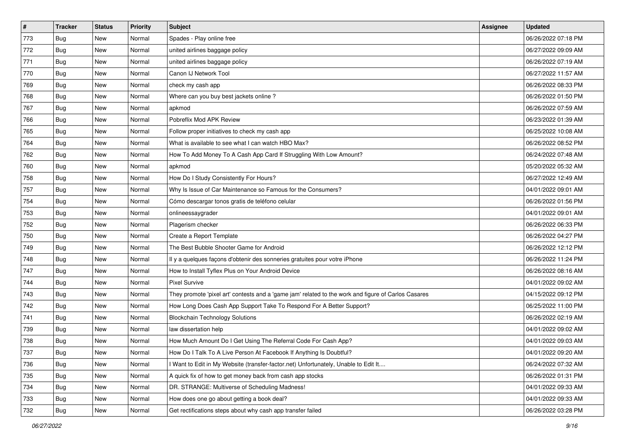| $\vert$ # | <b>Tracker</b> | <b>Status</b> | Priority | Subject                                                                                             | <b>Assignee</b> | <b>Updated</b>      |
|-----------|----------------|---------------|----------|-----------------------------------------------------------------------------------------------------|-----------------|---------------------|
| 773       | <b>Bug</b>     | New           | Normal   | Spades - Play online free                                                                           |                 | 06/26/2022 07:18 PM |
| 772       | <b>Bug</b>     | New           | Normal   | united airlines baggage policy                                                                      |                 | 06/27/2022 09:09 AM |
| 771       | <b>Bug</b>     | New           | Normal   | united airlines baggage policy                                                                      |                 | 06/26/2022 07:19 AM |
| 770       | Bug            | New           | Normal   | Canon IJ Network Tool                                                                               |                 | 06/27/2022 11:57 AM |
| 769       | <b>Bug</b>     | <b>New</b>    | Normal   | check my cash app                                                                                   |                 | 06/26/2022 08:33 PM |
| 768       | <b>Bug</b>     | New           | Normal   | Where can you buy best jackets online?                                                              |                 | 06/26/2022 01:50 PM |
| 767       | Bug            | New           | Normal   | apkmod                                                                                              |                 | 06/26/2022 07:59 AM |
| 766       | <b>Bug</b>     | New           | Normal   | Pobreflix Mod APK Review                                                                            |                 | 06/23/2022 01:39 AM |
| 765       | <b>Bug</b>     | New           | Normal   | Follow proper initiatives to check my cash app                                                      |                 | 06/25/2022 10:08 AM |
| 764       | Bug            | New           | Normal   | What is available to see what I can watch HBO Max?                                                  |                 | 06/26/2022 08:52 PM |
| 762       | <b>Bug</b>     | New           | Normal   | How To Add Money To A Cash App Card If Struggling With Low Amount?                                  |                 | 06/24/2022 07:48 AM |
| 760       | Bug            | New           | Normal   | apkmod                                                                                              |                 | 05/20/2022 05:32 AM |
| 758       | Bug            | New           | Normal   | How Do I Study Consistently For Hours?                                                              |                 | 06/27/2022 12:49 AM |
| 757       | <b>Bug</b>     | New           | Normal   | Why Is Issue of Car Maintenance so Famous for the Consumers?                                        |                 | 04/01/2022 09:01 AM |
| 754       | <b>Bug</b>     | New           | Normal   | Cómo descargar tonos gratis de teléfono celular                                                     |                 | 06/26/2022 01:56 PM |
| 753       | Bug            | New           | Normal   | onlineessaygrader                                                                                   |                 | 04/01/2022 09:01 AM |
| 752       | <b>Bug</b>     | New           | Normal   | Plagerism checker                                                                                   |                 | 06/26/2022 06:33 PM |
| 750       | Bug            | New           | Normal   | Create a Report Template                                                                            |                 | 06/26/2022 04:27 PM |
| 749       | Bug            | New           | Normal   | The Best Bubble Shooter Game for Android                                                            |                 | 06/26/2022 12:12 PM |
| 748       | <b>Bug</b>     | New           | Normal   | Il y a quelques façons d'obtenir des sonneries gratuites pour votre iPhone                          |                 | 06/26/2022 11:24 PM |
| 747       | Bug            | New           | Normal   | How to Install Tyflex Plus on Your Android Device                                                   |                 | 06/26/2022 08:16 AM |
| 744       | <b>Bug</b>     | New           | Normal   | <b>Pixel Survive</b>                                                                                |                 | 04/01/2022 09:02 AM |
| 743       | Bug            | <b>New</b>    | Normal   | They promote 'pixel art' contests and a 'game jam' related to the work and figure of Carlos Casares |                 | 04/15/2022 09:12 PM |
| 742       | <b>Bug</b>     | New           | Normal   | How Long Does Cash App Support Take To Respond For A Better Support?                                |                 | 06/25/2022 11:00 PM |
| 741       | <b>Bug</b>     | New           | Normal   | <b>Blockchain Technology Solutions</b>                                                              |                 | 06/26/2022 02:19 AM |
| 739       | Bug            | New           | Normal   | law dissertation help                                                                               |                 | 04/01/2022 09:02 AM |
| 738       | <b>Bug</b>     | New           | Normal   | How Much Amount Do I Get Using The Referral Code For Cash App?                                      |                 | 04/01/2022 09:03 AM |
| 737       | <b>Bug</b>     | New           | Normal   | How Do I Talk To A Live Person At Facebook If Anything Is Doubtful?                                 |                 | 04/01/2022 09:20 AM |
| 736       | Bug            | New           | Normal   | Want to Edit in My Website (transfer-factor.net) Unfortunately, Unable to Edit It                   |                 | 06/24/2022 07:32 AM |
| 735       | Bug            | New           | Normal   | A quick fix of how to get money back from cash app stocks                                           |                 | 06/26/2022 01:31 PM |
| 734       | <b>Bug</b>     | New           | Normal   | DR. STRANGE: Multiverse of Scheduling Madness!                                                      |                 | 04/01/2022 09:33 AM |
| 733       | <b>Bug</b>     | New           | Normal   | How does one go about getting a book deal?                                                          |                 | 04/01/2022 09:33 AM |
| 732       | <b>Bug</b>     | New           | Normal   | Get rectifications steps about why cash app transfer failed                                         |                 | 06/26/2022 03:28 PM |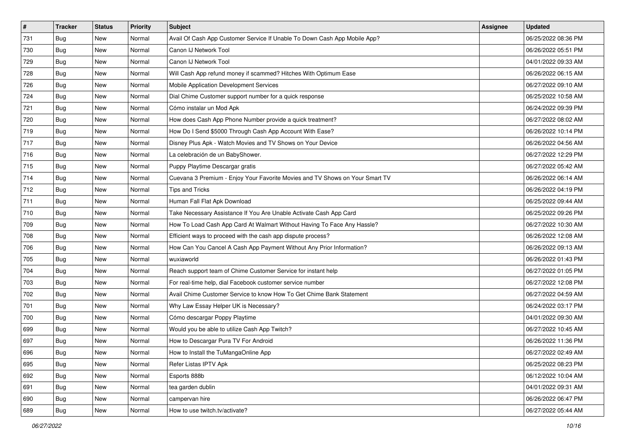| #   | <b>Tracker</b> | <b>Status</b> | Priority | <b>Subject</b>                                                               | Assignee | <b>Updated</b>      |
|-----|----------------|---------------|----------|------------------------------------------------------------------------------|----------|---------------------|
| 731 | <b>Bug</b>     | New           | Normal   | Avail Of Cash App Customer Service If Unable To Down Cash App Mobile App?    |          | 06/25/2022 08:36 PM |
| 730 | <b>Bug</b>     | New           | Normal   | Canon IJ Network Tool                                                        |          | 06/26/2022 05:51 PM |
| 729 | <b>Bug</b>     | New           | Normal   | Canon IJ Network Tool                                                        |          | 04/01/2022 09:33 AM |
| 728 | <b>Bug</b>     | New           | Normal   | Will Cash App refund money if scammed? Hitches With Optimum Ease             |          | 06/26/2022 06:15 AM |
| 726 | <b>Bug</b>     | New           | Normal   | Mobile Application Development Services                                      |          | 06/27/2022 09:10 AM |
| 724 | <b>Bug</b>     | New           | Normal   | Dial Chime Customer support number for a quick response                      |          | 06/25/2022 10:58 AM |
| 721 | <b>Bug</b>     | New           | Normal   | Cómo instalar un Mod Apk                                                     |          | 06/24/2022 09:39 PM |
| 720 | <b>Bug</b>     | New           | Normal   | How does Cash App Phone Number provide a quick treatment?                    |          | 06/27/2022 08:02 AM |
| 719 | <b>Bug</b>     | New           | Normal   | How Do I Send \$5000 Through Cash App Account With Ease?                     |          | 06/26/2022 10:14 PM |
| 717 | Bug            | New           | Normal   | Disney Plus Apk - Watch Movies and TV Shows on Your Device                   |          | 06/26/2022 04:56 AM |
| 716 | <b>Bug</b>     | New           | Normal   | La celebración de un BabyShower.                                             |          | 06/27/2022 12:29 PM |
| 715 | Bug            | New           | Normal   | Puppy Playtime Descargar gratis                                              |          | 06/27/2022 05:42 AM |
| 714 | Bug            | New           | Normal   | Cuevana 3 Premium - Enjoy Your Favorite Movies and TV Shows on Your Smart TV |          | 06/26/2022 06:14 AM |
| 712 | <b>Bug</b>     | New           | Normal   | <b>Tips and Tricks</b>                                                       |          | 06/26/2022 04:19 PM |
| 711 | <b>Bug</b>     | New           | Normal   | Human Fall Flat Apk Download                                                 |          | 06/25/2022 09:44 AM |
| 710 | <b>Bug</b>     | New           | Normal   | Take Necessary Assistance If You Are Unable Activate Cash App Card           |          | 06/25/2022 09:26 PM |
| 709 | <b>Bug</b>     | New           | Normal   | How To Load Cash App Card At Walmart Without Having To Face Any Hassle?      |          | 06/27/2022 10:30 AM |
| 708 | <b>Bug</b>     | <b>New</b>    | Normal   | Efficient ways to proceed with the cash app dispute process?                 |          | 06/26/2022 12:08 AM |
| 706 | <b>Bug</b>     | New           | Normal   | How Can You Cancel A Cash App Payment Without Any Prior Information?         |          | 06/26/2022 09:13 AM |
| 705 | Bug            | New           | Normal   | wuxiaworld                                                                   |          | 06/26/2022 01:43 PM |
| 704 | <b>Bug</b>     | New           | Normal   | Reach support team of Chime Customer Service for instant help                |          | 06/27/2022 01:05 PM |
| 703 | <b>Bug</b>     | New           | Normal   | For real-time help, dial Facebook customer service number                    |          | 06/27/2022 12:08 PM |
| 702 | Bug            | New           | Normal   | Avail Chime Customer Service to know How To Get Chime Bank Statement         |          | 06/27/2022 04:59 AM |
| 701 | <b>Bug</b>     | New           | Normal   | Why Law Essay Helper UK is Necessary?                                        |          | 06/24/2022 03:17 PM |
| 700 | Bug            | New           | Normal   | Cómo descargar Poppy Playtime                                                |          | 04/01/2022 09:30 AM |
| 699 | <b>Bug</b>     | New           | Normal   | Would you be able to utilize Cash App Twitch?                                |          | 06/27/2022 10:45 AM |
| 697 | Bug            | New           | Normal   | How to Descargar Pura TV For Android                                         |          | 06/26/2022 11:36 PM |
| 696 | <b>Bug</b>     | New           | Normal   | How to Install the TuMangaOnline App                                         |          | 06/27/2022 02:49 AM |
| 695 | Bug            | New           | Normal   | Refer Listas IPTV Apk                                                        |          | 06/25/2022 08:23 PM |
| 692 | <b>Bug</b>     | New           | Normal   | Esports 888b                                                                 |          | 06/12/2022 10:04 AM |
| 691 | Bug            | New           | Normal   | tea garden dublin                                                            |          | 04/01/2022 09:31 AM |
| 690 | <b>Bug</b>     | New           | Normal   | campervan hire                                                               |          | 06/26/2022 06:47 PM |
| 689 | <b>Bug</b>     | New           | Normal   | How to use twitch.tv/activate?                                               |          | 06/27/2022 05:44 AM |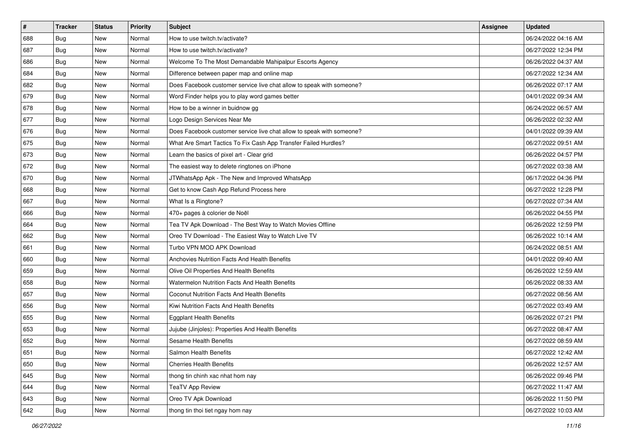| $\vert$ # | <b>Tracker</b> | <b>Status</b> | Priority | Subject                                                               | Assignee | <b>Updated</b>      |
|-----------|----------------|---------------|----------|-----------------------------------------------------------------------|----------|---------------------|
| 688       | <b>Bug</b>     | New           | Normal   | How to use twitch.tv/activate?                                        |          | 06/24/2022 04:16 AM |
| 687       | Bug            | New           | Normal   | How to use twitch.tv/activate?                                        |          | 06/27/2022 12:34 PM |
| 686       | <b>Bug</b>     | New           | Normal   | Welcome To The Most Demandable Mahipalpur Escorts Agency              |          | 06/26/2022 04:37 AM |
| 684       | <b>Bug</b>     | New           | Normal   | Difference between paper map and online map                           |          | 06/27/2022 12:34 AM |
| 682       | Bug            | New           | Normal   | Does Facebook customer service live chat allow to speak with someone? |          | 06/26/2022 07:17 AM |
| 679       | <b>Bug</b>     | New           | Normal   | Word Finder helps you to play word games better                       |          | 04/01/2022 09:34 AM |
| 678       | Bug            | New           | Normal   | How to be a winner in buidnow gg                                      |          | 06/24/2022 06:57 AM |
| 677       | Bug            | New           | Normal   | Logo Design Services Near Me                                          |          | 06/26/2022 02:32 AM |
| 676       | <b>Bug</b>     | New           | Normal   | Does Facebook customer service live chat allow to speak with someone? |          | 04/01/2022 09:39 AM |
| 675       | Bug            | New           | Normal   | What Are Smart Tactics To Fix Cash App Transfer Failed Hurdles?       |          | 06/27/2022 09:51 AM |
| 673       | <b>Bug</b>     | New           | Normal   | Learn the basics of pixel art - Clear grid                            |          | 06/26/2022 04:57 PM |
| 672       | <b>Bug</b>     | New           | Normal   | The easiest way to delete ringtones on iPhone                         |          | 06/27/2022 03:38 AM |
| 670       | Bug            | <b>New</b>    | Normal   | JTWhatsApp Apk - The New and Improved WhatsApp                        |          | 06/17/2022 04:36 PM |
| 668       | <b>Bug</b>     | New           | Normal   | Get to know Cash App Refund Process here                              |          | 06/27/2022 12:28 PM |
| 667       | Bug            | <b>New</b>    | Normal   | What Is a Ringtone?                                                   |          | 06/27/2022 07:34 AM |
| 666       | <b>Bug</b>     | New           | Normal   | 470+ pages à colorier de Noël                                         |          | 06/26/2022 04:55 PM |
| 664       | <b>Bug</b>     | New           | Normal   | Tea TV Apk Download - The Best Way to Watch Movies Offline            |          | 06/26/2022 12:59 PM |
| 662       | Bug            | New           | Normal   | Oreo TV Download - The Easiest Way to Watch Live TV                   |          | 06/26/2022 10:14 AM |
| 661       | <b>Bug</b>     | New           | Normal   | Turbo VPN MOD APK Download                                            |          | 06/24/2022 08:51 AM |
| 660       | Bug            | New           | Normal   | Anchovies Nutrition Facts And Health Benefits                         |          | 04/01/2022 09:40 AM |
| 659       | Bug            | New           | Normal   | Olive Oil Properties And Health Benefits                              |          | 06/26/2022 12:59 AM |
| 658       | <b>Bug</b>     | New           | Normal   | Watermelon Nutrition Facts And Health Benefits                        |          | 06/26/2022 08:33 AM |
| 657       | Bug            | New           | Normal   | Coconut Nutrition Facts And Health Benefits                           |          | 06/27/2022 08:56 AM |
| 656       | <b>Bug</b>     | New           | Normal   | Kiwi Nutrition Facts And Health Benefits                              |          | 06/27/2022 03:49 AM |
| 655       | <b>Bug</b>     | New           | Normal   | <b>Eggplant Health Benefits</b>                                       |          | 06/26/2022 07:21 PM |
| 653       | <b>Bug</b>     | <b>New</b>    | Normal   | Jujube (Jinjoles): Properties And Health Benefits                     |          | 06/27/2022 08:47 AM |
| 652       | Bug            | New           | Normal   | Sesame Health Benefits                                                |          | 06/27/2022 08:59 AM |
| 651       | <b>Bug</b>     | New           | Normal   | Salmon Health Benefits                                                |          | 06/27/2022 12:42 AM |
| 650       | <b>Bug</b>     | New           | Normal   | <b>Cherries Health Benefits</b>                                       |          | 06/26/2022 12:57 AM |
| 645       | <b>Bug</b>     | New           | Normal   | thong tin chinh xac nhat hom nay                                      |          | 06/26/2022 09:46 PM |
| 644       | Bug            | New           | Normal   | <b>TeaTV App Review</b>                                               |          | 06/27/2022 11:47 AM |
| 643       | <b>Bug</b>     | New           | Normal   | Oreo TV Apk Download                                                  |          | 06/26/2022 11:50 PM |
| 642       | <b>Bug</b>     | New           | Normal   | thong tin thoi tiet ngay hom nay                                      |          | 06/27/2022 10:03 AM |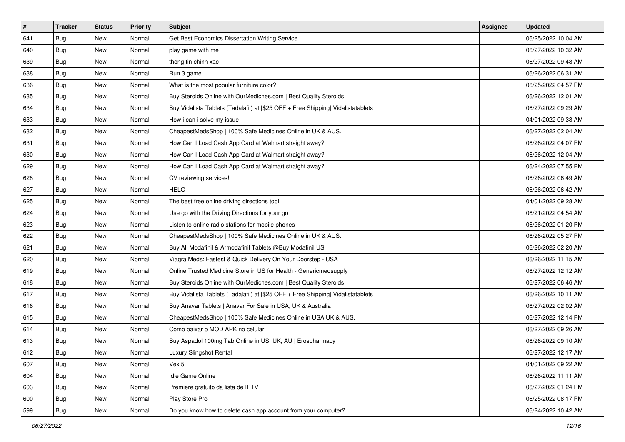| $\vert$ # | <b>Tracker</b> | <b>Status</b> | Priority | <b>Subject</b>                                                                   | Assignee | <b>Updated</b>      |
|-----------|----------------|---------------|----------|----------------------------------------------------------------------------------|----------|---------------------|
| 641       | Bug            | New           | Normal   | Get Best Economics Dissertation Writing Service                                  |          | 06/25/2022 10:04 AM |
| 640       | Bug            | New           | Normal   | play game with me                                                                |          | 06/27/2022 10:32 AM |
| 639       | <b>Bug</b>     | New           | Normal   | thong tin chinh xac                                                              |          | 06/27/2022 09:48 AM |
| 638       | Bug            | New           | Normal   | Run 3 game                                                                       |          | 06/26/2022 06:31 AM |
| 636       | <b>Bug</b>     | New           | Normal   | What is the most popular furniture color?                                        |          | 06/25/2022 04:57 PM |
| 635       | Bug            | New           | Normal   | Buy Steroids Online with OurMedicnes.com   Best Quality Steroids                 |          | 06/26/2022 12:01 AM |
| 634       | <b>Bug</b>     | New           | Normal   | Buy Vidalista Tablets (Tadalafil) at [\$25 OFF + Free Shipping] Vidalistatablets |          | 06/27/2022 09:29 AM |
| 633       | <b>Bug</b>     | New           | Normal   | How i can i solve my issue                                                       |          | 04/01/2022 09:38 AM |
| 632       | Bug            | New           | Normal   | CheapestMedsShop   100% Safe Medicines Online in UK & AUS.                       |          | 06/27/2022 02:04 AM |
| 631       | Bug            | <b>New</b>    | Normal   | How Can I Load Cash App Card at Walmart straight away?                           |          | 06/26/2022 04:07 PM |
| 630       | <b>Bug</b>     | New           | Normal   | How Can I Load Cash App Card at Walmart straight away?                           |          | 06/26/2022 12:04 AM |
| 629       | <b>Bug</b>     | New           | Normal   | How Can I Load Cash App Card at Walmart straight away?                           |          | 06/24/2022 07:55 PM |
| 628       | Bug            | New           | Normal   | CV reviewing services!                                                           |          | 06/26/2022 06:49 AM |
| 627       | <b>Bug</b>     | New           | Normal   | <b>HELO</b>                                                                      |          | 06/26/2022 06:42 AM |
| 625       | Bug            | New           | Normal   | The best free online driving directions tool                                     |          | 04/01/2022 09:28 AM |
| 624       | <b>Bug</b>     | New           | Normal   | Use go with the Driving Directions for your go                                   |          | 06/21/2022 04:54 AM |
| 623       | <b>Bug</b>     | New           | Normal   | Listen to online radio stations for mobile phones                                |          | 06/26/2022 01:20 PM |
| 622       | <b>Bug</b>     | New           | Normal   | CheapestMedsShop   100% Safe Medicines Online in UK & AUS.                       |          | 06/26/2022 05:27 PM |
| 621       | Bug            | New           | Normal   | Buy All Modafinil & Armodafinil Tablets @Buy Modafinil US                        |          | 06/26/2022 02:20 AM |
| 620       | Bug            | New           | Normal   | Viagra Meds: Fastest & Quick Delivery On Your Doorstep - USA                     |          | 06/26/2022 11:15 AM |
| 619       | <b>Bug</b>     | New           | Normal   | Online Trusted Medicine Store in US for Health - Genericmedsupply                |          | 06/27/2022 12:12 AM |
| 618       | Bug            | New           | Normal   | Buy Steroids Online with OurMedicnes.com   Best Quality Steroids                 |          | 06/27/2022 06:46 AM |
| 617       | Bug            | New           | Normal   | Buy Vidalista Tablets (Tadalafil) at [\$25 OFF + Free Shipping] Vidalistatablets |          | 06/26/2022 10:11 AM |
| 616       | <b>Bug</b>     | New           | Normal   | Buy Anavar Tablets   Anavar For Sale in USA, UK & Australia                      |          | 06/27/2022 02:02 AM |
| 615       | Bug            | New           | Normal   | CheapestMedsShop   100% Safe Medicines Online in USA UK & AUS.                   |          | 06/27/2022 12:14 PM |
| 614       | Bug            | New           | Normal   | Como baixar o MOD APK no celular                                                 |          | 06/27/2022 09:26 AM |
| 613       | <b>Bug</b>     | New           | Normal   | Buy Aspadol 100mg Tab Online in US, UK, AU   Erospharmacy                        |          | 06/26/2022 09:10 AM |
| 612       | <b>Bug</b>     | New           | Normal   | Luxury Slingshot Rental                                                          |          | 06/27/2022 12:17 AM |
| 607       | Bug            | New           | Normal   | Vex 5                                                                            |          | 04/01/2022 09:22 AM |
| 604       | <b>Bug</b>     | New           | Normal   | Idle Game Online                                                                 |          | 06/26/2022 11:11 AM |
| 603       | <b>Bug</b>     | New           | Normal   | Premiere gratuito da lista de IPTV                                               |          | 06/27/2022 01:24 PM |
| 600       | <b>Bug</b>     | New           | Normal   | Play Store Pro                                                                   |          | 06/25/2022 08:17 PM |
| 599       | <b>Bug</b>     | New           | Normal   | Do you know how to delete cash app account from your computer?                   |          | 06/24/2022 10:42 AM |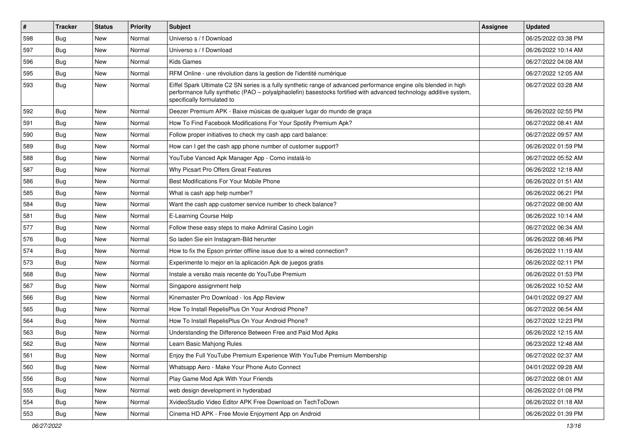| $\vert$ # | <b>Tracker</b> | <b>Status</b> | Priority | Subject                                                                                                                                                                                                                                                               | Assignee | <b>Updated</b>      |
|-----------|----------------|---------------|----------|-----------------------------------------------------------------------------------------------------------------------------------------------------------------------------------------------------------------------------------------------------------------------|----------|---------------------|
| 598       | Bug            | New           | Normal   | Universo s / f Download                                                                                                                                                                                                                                               |          | 06/25/2022 03:38 PM |
| 597       | <b>Bug</b>     | New           | Normal   | Universo s / f Download                                                                                                                                                                                                                                               |          | 06/26/2022 10:14 AM |
| 596       | <b>Bug</b>     | New           | Normal   | <b>Kids Games</b>                                                                                                                                                                                                                                                     |          | 06/27/2022 04:08 AM |
| 595       | <b>Bug</b>     | New           | Normal   | RFM Online - une révolution dans la gestion de l'identité numérique                                                                                                                                                                                                   |          | 06/27/2022 12:05 AM |
| 593       | <b>Bug</b>     | New           | Normal   | Eiffel Spark Ultimate C2 SN series is a fully synthetic range of advanced performance engine oils blended in high<br>performance fully synthetic (PAO - polyalphaolefin) basestocks fortified with advanced technology additive system,<br>specifically formulated to |          | 06/27/2022 03:28 AM |
| 592       | Bug            | New           | Normal   | Deezer Premium APK - Baixe músicas de qualquer lugar do mundo de graça                                                                                                                                                                                                |          | 06/26/2022 02:55 PM |
| 591       | Bug            | New           | Normal   | How To Find Facebook Modifications For Your Spotify Premium Apk?                                                                                                                                                                                                      |          | 06/27/2022 08:41 AM |
| 590       | Bug            | New           | Normal   | Follow proper initiatives to check my cash app card balance:                                                                                                                                                                                                          |          | 06/27/2022 09:57 AM |
| 589       | <b>Bug</b>     | New           | Normal   | How can I get the cash app phone number of customer support?                                                                                                                                                                                                          |          | 06/26/2022 01:59 PM |
| 588       | <b>Bug</b>     | New           | Normal   | YouTube Vanced Apk Manager App - Como instalá-lo                                                                                                                                                                                                                      |          | 06/27/2022 05:52 AM |
| 587       | Bug            | New           | Normal   | Why Picsart Pro Offers Great Features                                                                                                                                                                                                                                 |          | 06/26/2022 12:18 AM |
| 586       | <b>Bug</b>     | New           | Normal   | Best Modifications For Your Mobile Phone                                                                                                                                                                                                                              |          | 06/26/2022 01:51 AM |
| 585       | Bug            | New           | Normal   | What is cash app help number?                                                                                                                                                                                                                                         |          | 06/26/2022 06:21 PM |
| 584       | Bug            | New           | Normal   | Want the cash app customer service number to check balance?                                                                                                                                                                                                           |          | 06/27/2022 08:00 AM |
| 581       | <b>Bug</b>     | New           | Normal   | E-Learning Course Help                                                                                                                                                                                                                                                |          | 06/26/2022 10:14 AM |
| 577       | Bug            | New           | Normal   | Follow these easy steps to make Admiral Casino Login                                                                                                                                                                                                                  |          | 06/27/2022 06:34 AM |
| 576       | Bug            | New           | Normal   | So laden Sie ein Instagram-Bild herunter                                                                                                                                                                                                                              |          | 06/26/2022 08:46 PM |
| 574       | <b>Bug</b>     | New           | Normal   | How to fix the Epson printer offline issue due to a wired connection?                                                                                                                                                                                                 |          | 06/26/2022 11:19 AM |
| 573       | Bug            | New           | Normal   | Experimente lo mejor en la aplicación Apk de juegos gratis                                                                                                                                                                                                            |          | 06/26/2022 02:11 PM |
| 568       | Bug            | New           | Normal   | Instale a versão mais recente do YouTube Premium                                                                                                                                                                                                                      |          | 06/26/2022 01:53 PM |
| 567       | <b>Bug</b>     | New           | Normal   | Singapore assignment help                                                                                                                                                                                                                                             |          | 06/26/2022 10:52 AM |
| 566       | <b>Bug</b>     | New           | Normal   | Kinemaster Pro Download - los App Review                                                                                                                                                                                                                              |          | 04/01/2022 09:27 AM |
| 565       | <b>Bug</b>     | New           | Normal   | How To Install RepelisPlus On Your Android Phone?                                                                                                                                                                                                                     |          | 06/27/2022 06:54 AM |
| 564       | Bug            | New           | Normal   | How To Install RepelisPlus On Your Android Phone?                                                                                                                                                                                                                     |          | 06/27/2022 12:23 PM |
| 563       | <b>Bug</b>     | New           | Normal   | Understanding the Difference Between Free and Paid Mod Apks                                                                                                                                                                                                           |          | 06/26/2022 12:15 AM |
| 562       | Bug            | New           | Normal   | Learn Basic Mahjong Rules                                                                                                                                                                                                                                             |          | 06/23/2022 12:48 AM |
| 561       | Bug            | New           | Normal   | Enjoy the Full YouTube Premium Experience With YouTube Premium Membership                                                                                                                                                                                             |          | 06/27/2022 02:37 AM |
| 560       | Bug            | New           | Normal   | Whatsapp Aero - Make Your Phone Auto Connect                                                                                                                                                                                                                          |          | 04/01/2022 09:28 AM |
| 556       | Bug            | New           | Normal   | Play Game Mod Apk With Your Friends                                                                                                                                                                                                                                   |          | 06/27/2022 08:01 AM |
| 555       | <b>Bug</b>     | New           | Normal   | web design development in hyderabad                                                                                                                                                                                                                                   |          | 06/26/2022 01:08 PM |
| 554       | <b>Bug</b>     | New           | Normal   | XvideoStudio Video Editor APK Free Download on TechToDown                                                                                                                                                                                                             |          | 06/26/2022 01:18 AM |
| 553       | <b>Bug</b>     | New           | Normal   | Cinema HD APK - Free Movie Enjoyment App on Android                                                                                                                                                                                                                   |          | 06/26/2022 01:39 PM |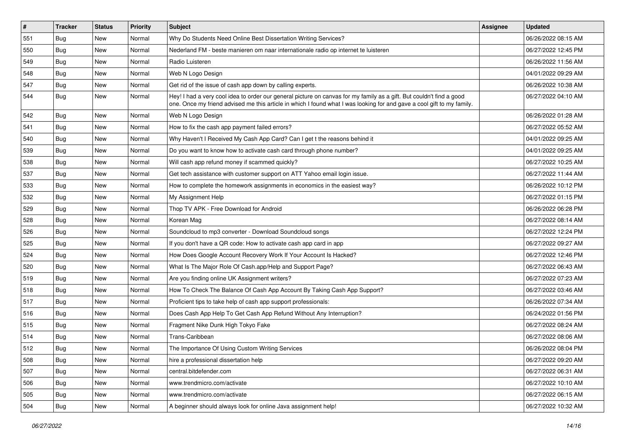| $\vert$ # | <b>Tracker</b> | <b>Status</b> | Priority | Subject                                                                                                                                                                                                                                        | Assignee | <b>Updated</b>      |
|-----------|----------------|---------------|----------|------------------------------------------------------------------------------------------------------------------------------------------------------------------------------------------------------------------------------------------------|----------|---------------------|
| 551       | <b>Bug</b>     | New           | Normal   | Why Do Students Need Online Best Dissertation Writing Services?                                                                                                                                                                                |          | 06/26/2022 08:15 AM |
| 550       | Bug            | New           | Normal   | Nederland FM - beste manieren om naar internationale radio op internet te luisteren                                                                                                                                                            |          | 06/27/2022 12:45 PM |
| 549       | Bug            | New           | Normal   | Radio Luisteren                                                                                                                                                                                                                                |          | 06/26/2022 11:56 AM |
| 548       | Bug            | New           | Normal   | Web N Logo Design                                                                                                                                                                                                                              |          | 04/01/2022 09:29 AM |
| 547       | Bug            | New           | Normal   | Get rid of the issue of cash app down by calling experts.                                                                                                                                                                                      |          | 06/26/2022 10:38 AM |
| 544       | <b>Bug</b>     | New           | Normal   | Hey! I had a very cool idea to order our general picture on canvas for my family as a gift. But couldn't find a good<br>one. Once my friend advised me this article in which I found what I was looking for and gave a cool gift to my family. |          | 06/27/2022 04:10 AM |
| 542       | Bug            | <b>New</b>    | Normal   | Web N Logo Design                                                                                                                                                                                                                              |          | 06/26/2022 01:28 AM |
| 541       | Bug            | New           | Normal   | How to fix the cash app payment failed errors?                                                                                                                                                                                                 |          | 06/27/2022 05:52 AM |
| 540       | <b>Bug</b>     | New           | Normal   | Why Haven't I Received My Cash App Card? Can I get t the reasons behind it                                                                                                                                                                     |          | 04/01/2022 09:25 AM |
| 539       | Bug            | New           | Normal   | Do you want to know how to activate cash card through phone number?                                                                                                                                                                            |          | 04/01/2022 09:25 AM |
| 538       | <b>Bug</b>     | New           | Normal   | Will cash app refund money if scammed quickly?                                                                                                                                                                                                 |          | 06/27/2022 10:25 AM |
| 537       | Bug            | New           | Normal   | Get tech assistance with customer support on ATT Yahoo email login issue.                                                                                                                                                                      |          | 06/27/2022 11:44 AM |
| 533       | Bug            | New           | Normal   | How to complete the homework assignments in economics in the easiest way?                                                                                                                                                                      |          | 06/26/2022 10:12 PM |
| 532       | Bug            | <b>New</b>    | Normal   | My Assignment Help                                                                                                                                                                                                                             |          | 06/27/2022 01:15 PM |
| 529       | <b>Bug</b>     | New           | Normal   | Thop TV APK - Free Download for Android                                                                                                                                                                                                        |          | 06/26/2022 06:28 PM |
| 528       | Bug            | New           | Normal   | Korean Mag                                                                                                                                                                                                                                     |          | 06/27/2022 08:14 AM |
| 526       | Bug            | New           | Normal   | Soundcloud to mp3 converter - Download Soundcloud songs                                                                                                                                                                                        |          | 06/27/2022 12:24 PM |
| 525       | <b>Bug</b>     | New           | Normal   | If you don't have a QR code: How to activate cash app card in app                                                                                                                                                                              |          | 06/27/2022 09:27 AM |
| 524       | Bug            | New           | Normal   | How Does Google Account Recovery Work If Your Account Is Hacked?                                                                                                                                                                               |          | 06/27/2022 12:46 PM |
| 520       | Bug            | New           | Normal   | What Is The Major Role Of Cash.app/Help and Support Page?                                                                                                                                                                                      |          | 06/27/2022 06:43 AM |
| 519       | Bug            | New           | Normal   | Are you finding online UK Assignment writers?                                                                                                                                                                                                  |          | 06/27/2022 07:23 AM |
| 518       | <b>Bug</b>     | New           | Normal   | How To Check The Balance Of Cash App Account By Taking Cash App Support?                                                                                                                                                                       |          | 06/27/2022 03:46 AM |
| 517       | <b>Bug</b>     | New           | Normal   | Proficient tips to take help of cash app support professionals:                                                                                                                                                                                |          | 06/26/2022 07:34 AM |
| 516       | <b>Bug</b>     | New           | Normal   | Does Cash App Help To Get Cash App Refund Without Any Interruption?                                                                                                                                                                            |          | 06/24/2022 01:56 PM |
| 515       | Bug            | New           | Normal   | Fragment Nike Dunk High Tokyo Fake                                                                                                                                                                                                             |          | 06/27/2022 08:24 AM |
| 514       | <b>Bug</b>     | New           | Normal   | Trans-Caribbean                                                                                                                                                                                                                                |          | 06/27/2022 08:06 AM |
| 512       | <b>Bug</b>     | New           | Normal   | The Importance Of Using Custom Writing Services                                                                                                                                                                                                |          | 06/26/2022 08:04 PM |
| 508       | Bug            | New           | Normal   | hire a professional dissertation help                                                                                                                                                                                                          |          | 06/27/2022 09:20 AM |
| 507       | <b>Bug</b>     | New           | Normal   | central.bitdefender.com                                                                                                                                                                                                                        |          | 06/27/2022 06:31 AM |
| 506       | <b>Bug</b>     | New           | Normal   | www.trendmicro.com/activate                                                                                                                                                                                                                    |          | 06/27/2022 10:10 AM |
| 505       | <b>Bug</b>     | New           | Normal   | www.trendmicro.com/activate                                                                                                                                                                                                                    |          | 06/27/2022 06:15 AM |
| 504       | <b>Bug</b>     | New           | Normal   | A beginner should always look for online Java assignment help!                                                                                                                                                                                 |          | 06/27/2022 10:32 AM |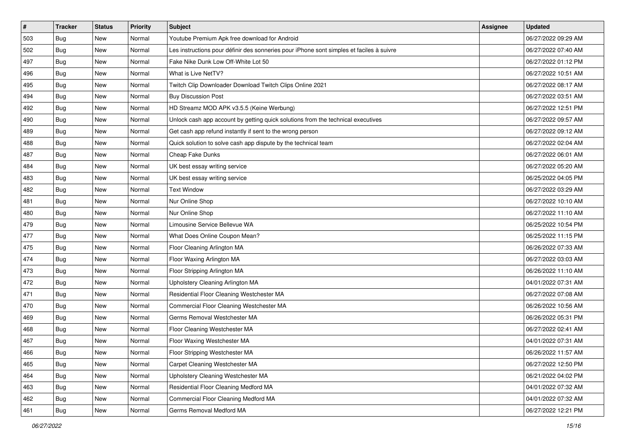| $\vert$ # | <b>Tracker</b> | <b>Status</b> | Priority | Subject                                                                                  | Assignee | <b>Updated</b>      |
|-----------|----------------|---------------|----------|------------------------------------------------------------------------------------------|----------|---------------------|
| 503       | <b>Bug</b>     | New           | Normal   | Youtube Premium Apk free download for Android                                            |          | 06/27/2022 09:29 AM |
| 502       | Bug            | New           | Normal   | Les instructions pour définir des sonneries pour iPhone sont simples et faciles à suivre |          | 06/27/2022 07:40 AM |
| 497       | <b>Bug</b>     | New           | Normal   | Fake Nike Dunk Low Off-White Lot 50                                                      |          | 06/27/2022 01:12 PM |
| 496       | <b>Bug</b>     | New           | Normal   | What is Live NetTV?                                                                      |          | 06/27/2022 10:51 AM |
| 495       | Bug            | New           | Normal   | Twitch Clip Downloader Download Twitch Clips Online 2021                                 |          | 06/27/2022 08:17 AM |
| 494       | <b>Bug</b>     | New           | Normal   | <b>Buy Discussion Post</b>                                                               |          | 06/27/2022 03:51 AM |
| 492       | Bug            | New           | Normal   | HD Streamz MOD APK v3.5.5 (Keine Werbung)                                                |          | 06/27/2022 12:51 PM |
| 490       | Bug            | New           | Normal   | Unlock cash app account by getting quick solutions from the technical executives         |          | 06/27/2022 09:57 AM |
| 489       | <b>Bug</b>     | New           | Normal   | Get cash app refund instantly if sent to the wrong person                                |          | 06/27/2022 09:12 AM |
| 488       | <b>Bug</b>     | New           | Normal   | Quick solution to solve cash app dispute by the technical team                           |          | 06/27/2022 02:04 AM |
| 487       | <b>Bug</b>     | New           | Normal   | Cheap Fake Dunks                                                                         |          | 06/27/2022 06:01 AM |
| 484       | <b>Bug</b>     | New           | Normal   | UK best essay writing service                                                            |          | 06/27/2022 05:20 AM |
| 483       | Bug            | <b>New</b>    | Normal   | UK best essay writing service                                                            |          | 06/25/2022 04:05 PM |
| 482       | <b>Bug</b>     | New           | Normal   | <b>Text Window</b>                                                                       |          | 06/27/2022 03:29 AM |
| 481       | Bug            | New           | Normal   | Nur Online Shop                                                                          |          | 06/27/2022 10:10 AM |
| 480       | <b>Bug</b>     | New           | Normal   | Nur Online Shop                                                                          |          | 06/27/2022 11:10 AM |
| 479       | Bug            | New           | Normal   | Limousine Service Bellevue WA                                                            |          | 06/25/2022 10:54 PM |
| 477       | Bug            | New           | Normal   | What Does Online Coupon Mean?                                                            |          | 06/25/2022 11:15 PM |
| 475       | <b>Bug</b>     | New           | Normal   | Floor Cleaning Arlington MA                                                              |          | 06/26/2022 07:33 AM |
| 474       | Bug            | New           | Normal   | Floor Waxing Arlington MA                                                                |          | 06/27/2022 03:03 AM |
| 473       | <b>Bug</b>     | New           | Normal   | Floor Stripping Arlington MA                                                             |          | 06/26/2022 11:10 AM |
| 472       | <b>Bug</b>     | New           | Normal   | Upholstery Cleaning Arlington MA                                                         |          | 04/01/2022 07:31 AM |
| 471       | Bug            | New           | Normal   | Residential Floor Cleaning Westchester MA                                                |          | 06/27/2022 07:08 AM |
| 470       | <b>Bug</b>     | New           | Normal   | Commercial Floor Cleaning Westchester MA                                                 |          | 06/26/2022 10:56 AM |
| 469       | <b>Bug</b>     | New           | Normal   | Germs Removal Westchester MA                                                             |          | 06/26/2022 05:31 PM |
| 468       | <b>Bug</b>     | <b>New</b>    | Normal   | Floor Cleaning Westchester MA                                                            |          | 06/27/2022 02:41 AM |
| 467       | <b>Bug</b>     | New           | Normal   | Floor Waxing Westchester MA                                                              |          | 04/01/2022 07:31 AM |
| 466       | <b>Bug</b>     | New           | Normal   | Floor Stripping Westchester MA                                                           |          | 06/26/2022 11:57 AM |
| 465       | <b>Bug</b>     | New           | Normal   | Carpet Cleaning Westchester MA                                                           |          | 06/27/2022 12:50 PM |
| 464       | <b>Bug</b>     | New           | Normal   | Upholstery Cleaning Westchester MA                                                       |          | 06/21/2022 04:02 PM |
| 463       | Bug            | New           | Normal   | Residential Floor Cleaning Medford MA                                                    |          | 04/01/2022 07:32 AM |
| 462       | <b>Bug</b>     | New           | Normal   | Commercial Floor Cleaning Medford MA                                                     |          | 04/01/2022 07:32 AM |
| 461       | <b>Bug</b>     | New           | Normal   | Germs Removal Medford MA                                                                 |          | 06/27/2022 12:21 PM |